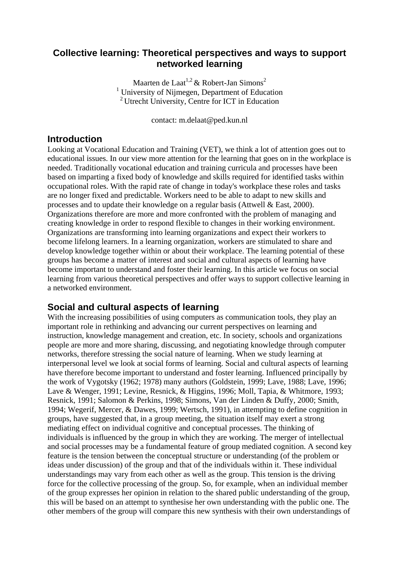## **Collective learning: Theoretical perspectives and ways to support networked learning**

Maarten de Laat<sup>1,2</sup> & Robert-Jan Simons<sup>2</sup> <sup>1</sup> University of Nijmegen, Department of Education 2 Utrecht University, Centre for ICT in Education

contact: m.delaat@ped.kun.nl

## **Introduction**

Looking at Vocational Education and Training (VET), we think a lot of attention goes out to educational issues. In our view more attention for the learning that goes on in the workplace is needed. Traditionally vocational education and training curricula and processes have been based on imparting a fixed body of knowledge and skills required for identified tasks within occupational roles. With the rapid rate of change in today's workplace these roles and tasks are no longer fixed and predictable. Workers need to be able to adapt to new skills and processes and to update their knowledge on a regular basis (Attwell & East, 2000). Organizations therefore are more and more confronted with the problem of managing and creating knowledge in order to respond flexible to changes in their working environment. Organizations are transforming into learning organizations and expect their workers to become lifelong learners. In a learning organization, workers are stimulated to share and develop knowledge together within or about their workplace. The learning potential of these groups has become a matter of interest and social and cultural aspects of learning have become important to understand and foster their learning. In this article we focus on social learning from various theoretical perspectives and offer ways to support collective learning in a networked environment.

# **Social and cultural aspects of learning**

With the increasing possibilities of using computers as communication tools, they play an important role in rethinking and advancing our current perspectives on learning and instruction, knowledge management and creation, etc. In society, schools and organizations people are more and more sharing, discussing, and negotiating knowledge through computer networks, therefore stressing the social nature of learning. When we study learning at interpersonal level we look at social forms of learning. Social and cultural aspects of learning have therefore become important to understand and foster learning. Influenced principally by the work of Vygotsky (1962; 1978) many authors (Goldstein, 1999; Lave, 1988; Lave, 1996; Lave & Wenger, 1991; Levine, Resnick, & Higgins, 1996; Moll, Tapia, & Whitmore, 1993; Resnick, 1991; Salomon & Perkins, 1998; Simons, Van der Linden & Duffy, 2000; Smith, 1994; Wegerif, Mercer, & Dawes, 1999; Wertsch, 1991), in attempting to define cognition in groups, have suggested that, in a group meeting, the situation itself may exert a strong mediating effect on individual cognitive and conceptual processes. The thinking of individuals is influenced by the group in which they are working. The merger of intellectual and social processes may be a fundamental feature of group mediated cognition. A second key feature is the tension between the conceptual structure or understanding (of the problem or ideas under discussion) of the group and that of the individuals within it. These individual understandings may vary from each other as well as the group. This tension is the driving force for the collective processing of the group. So, for example, when an individual member of the group expresses her opinion in relation to the shared public understanding of the group, this will be based on an attempt to synthesise her own understanding with the public one. The other members of the group will compare this new synthesis with their own understandings of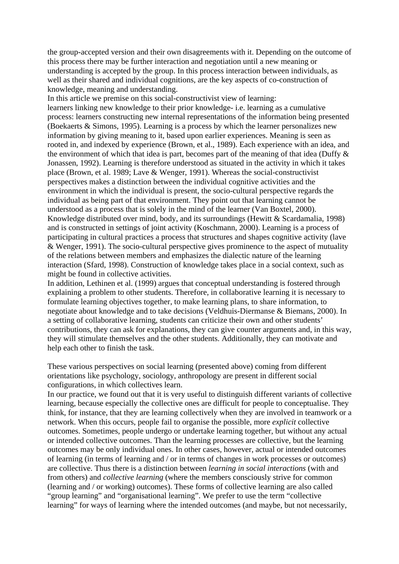the group-accepted version and their own disagreements with it. Depending on the outcome of this process there may be further interaction and negotiation until a new meaning or understanding is accepted by the group. In this process interaction between individuals, as well as their shared and individual cognitions, are the key aspects of co-construction of knowledge, meaning and understanding.

In this article we premise on this social-constructivist view of learning:

learners linking new knowledge to their prior knowledge- i.e. learning as a cumulative process: learners constructing new internal representations of the information being presented (Boekaerts & Simons, 1995). Learning is a process by which the learner personalizes new information by giving meaning to it, based upon earlier experiences. Meaning is seen as rooted in, and indexed by experience (Brown, et al., 1989). Each experience with an idea, and the environment of which that idea is part, becomes part of the meaning of that idea (Duffy  $\&$ Jonassen, 1992). Learning is therefore understood as situated in the activity in which it takes place (Brown, et al. 1989; Lave & Wenger, 1991). Whereas the social-constructivist perspectives makes a distinction between the individual cognitive activities and the environment in which the individual is present, the socio-cultural perspective regards the individual as being part of that environment. They point out that learning cannot be understood as a process that is solely in the mind of the learner (Van Boxtel, 2000). Knowledge distributed over mind, body, and its surroundings (Hewitt & Scardamalia, 1998) and is constructed in settings of joint activity (Koschmann, 2000). Learning is a process of participating in cultural practices a process that structures and shapes cognitive activity (lave & Wenger, 1991). The socio-cultural perspective gives prominence to the aspect of mutuality of the relations between members and emphasizes the dialectic nature of the learning interaction (Sfard, 1998). Construction of knowledge takes place in a social context, such as might be found in collective activities.

In addition, Lethinen et al. (1999) argues that conceptual understanding is fostered through explaining a problem to other students. Therefore, in collaborative learning it is necessary to formulate learning objectives together, to make learning plans, to share information, to negotiate about knowledge and to take decisions (Veldhuis-Diermanse & Biemans, 2000). In a setting of collaborative learning, students can criticize their own and other students' contributions, they can ask for explanations, they can give counter arguments and, in this way, they will stimulate themselves and the other students. Additionally, they can motivate and help each other to finish the task.

These various perspectives on social learning (presented above) coming from different orientations like psychology, sociology, anthropology are present in different social configurations, in which collectives learn.

In our practice, we found out that it is very useful to distinguish different variants of collective learning, because especially the collective ones are difficult for people to conceptualise. They think, for instance, that they are learning collectively when they are involved in teamwork or a network. When this occurs, people fail to organise the possible, more *explicit* collective outcomes. Sometimes, people undergo or undertake learning together, but without any actual or intended collective outcomes. Than the learning processes are collective, but the learning outcomes may be only individual ones. In other cases, however, actual or intended outcomes of learning (in terms of learning and / or in terms of changes in work processes or outcomes) are collective. Thus there is a distinction between *learning in social interactions* (with and from others) and *collective learning* (where the members consciously strive for common (learning and / or working) outcomes). These forms of collective learning are also called "group learning" and "organisational learning". We prefer to use the term "collective learning" for ways of learning where the intended outcomes (and maybe, but not necessarily,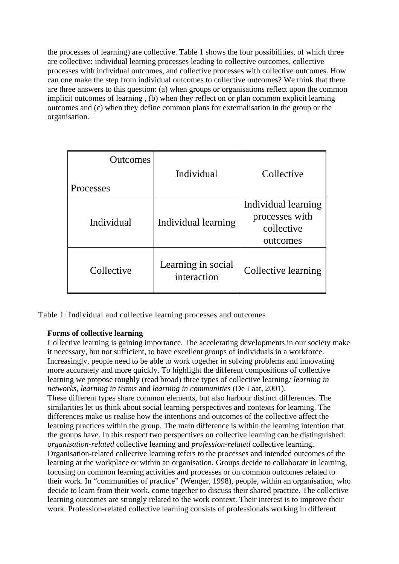the processes of learning) are collective. Table 1 shows the four possibilities, of which three are collective: individual learning processes leading to collective outcomes, collective processes with individual outcomes, and collective processes with collective outcomes. How can one make the step from individual outcomes to collective outcomes? We think that there are three answers to this question: (a) when groups or organisations reflect upon the common implicit outcomes of learning , (b) when they reflect on or plan common explicit learning outcomes and (c) when they define common plans for externalisation in the group or the organisation.

| <b>Outcomes</b><br>Processes | Individual                        | Collective                                                      |
|------------------------------|-----------------------------------|-----------------------------------------------------------------|
| Individual                   | Individual learning               | Individual learning<br>processes with<br>collective<br>outcomes |
| Collective                   | Learning in social<br>interaction | Collective learning                                             |

Table 1: Individual and collective learning processes and outcomes

## **Forms of collective learning**

Collective learning is gaining importance. The accelerating developments in our society make it necessary, but not sufficient, to have excellent groups of individuals in a workforce. Increasingly, people need to be able to work together in solving problems and innovating more accurately and more quickly. To highlight the different compositions of collective learning we propose roughly (read broad) three types of collective learning*: learning in networks, learning in teams* and *learning in communities* (De Laat, 2001). These different types share common elements, but also harbour distinct differences. The similarities let us think about social learning perspectives and contexts for learning. The differences make us realise how the intentions and outcomes of the collective affect the learning practices within the group. The main difference is within the learning intention that the groups have. In this respect two perspectives on collective learning can be distinguished: *organisation-related* collective learning and *profession-related* collective learning. Organisation-related collective learning refers to the processes and intended outcomes of the learning at the workplace or within an organisation. Groups decide to collaborate in learning, focusing on common learning activities and processes or on common outcomes related to their work. In "communities of practice" (Wenger, 1998), people, within an organisation, who decide to learn from their work, come together to discuss their shared practice. The collective learning outcomes are strongly related to the work context. Their interest is to improve their work. Profession-related collective learning consists of professionals working in different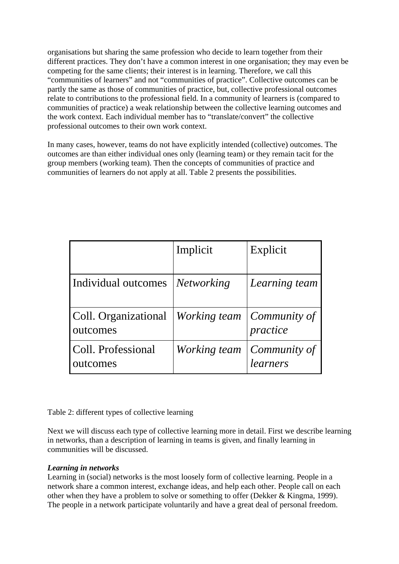organisations but sharing the same profession who decide to learn together from their different practices. They don't have a common interest in one organisation; they may even be competing for the same clients; their interest is in learning. Therefore, we call this "communities of learners" and not "communities of practice". Collective outcomes can be partly the same as those of communities of practice, but, collective professional outcomes relate to contributions to the professional field. In a community of learners is (compared to communities of practice) a weak relationship between the collective learning outcomes and the work context. Each individual member has to "translate/convert" the collective professional outcomes to their own work context.

In many cases, however, teams do not have explicitly intended (collective) outcomes. The outcomes are than either individual ones only (learning team) or they remain tacit for the group members (working team). Then the concepts of communities of practice and communities of learners do not apply at all. Table 2 presents the possibilities.

|                                                 | Implicit          | Explicit                         |
|-------------------------------------------------|-------------------|----------------------------------|
| Individual outcomes                             | <i>Networking</i> | Learning team                    |
| Coll. Organizational   Working team<br>outcomes |                   | $\vert$ Community of<br>practice |
| Coll. Professional<br>outcomes                  | Working team      | $\vert$ Community of<br>learners |

## Table 2: different types of collective learning

Next we will discuss each type of collective learning more in detail. First we describe learning in networks, than a description of learning in teams is given, and finally learning in communities will be discussed.

## *Learning in networks*

Learning in (social) networks is the most loosely form of collective learning. People in a network share a common interest, exchange ideas, and help each other. People call on each other when they have a problem to solve or something to offer (Dekker & Kingma, 1999). The people in a network participate voluntarily and have a great deal of personal freedom.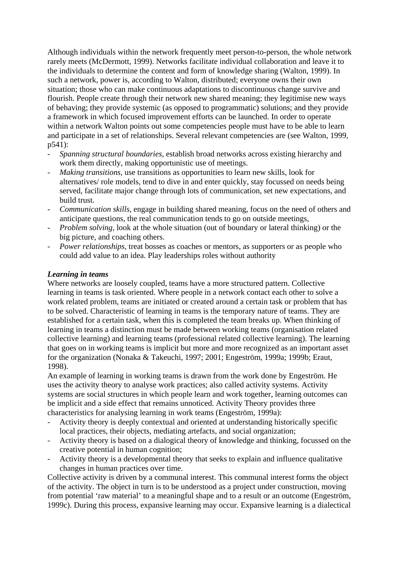Although individuals within the network frequently meet person-to-person, the whole network rarely meets (McDermott, 1999). Networks facilitate individual collaboration and leave it to the individuals to determine the content and form of knowledge sharing (Walton, 1999). In such a network, power is, according to Walton, distributed; everyone owns their own situation; those who can make continuous adaptations to discontinuous change survive and flourish. People create through their network new shared meaning; they legitimise new ways of behaving; they provide systemic (as opposed to programmatic) solutions; and they provide a framework in which focused improvement efforts can be launched. In order to operate within a network Walton points out some competencies people must have to be able to learn and participate in a set of relationships. Several relevant competencies are (see Walton, 1999, p541):

- *Spanning structural boundaries,* establish broad networks across existing hierarchy and work them directly, making opportunistic use of meetings.
- *Making transitions*, use transitions as opportunities to learn new skills, look for alternatives/ role models, tend to dive in and enter quickly, stay focussed on needs being served, facilitate major change through lots of communication, set new expectations, and build trust.
- *Communication skills*, engage in building shared meaning, focus on the need of others and anticipate questions, the real communication tends to go on outside meetings,
- *Problem solving, look at the whole situation (out of boundary or lateral thinking) or the* big picture, and coaching others.
- *Power relationships, treat bosses as coaches or mentors, as supporters or as people who* could add value to an idea. Play leaderships roles without authority

### *Learning in teams*

Where networks are loosely coupled, teams have a more structured pattern. Collective learning in teams is task oriented. Where people in a network contact each other to solve a work related problem, teams are initiated or created around a certain task or problem that has to be solved. Characteristic of learning in teams is the temporary nature of teams. They are established for a certain task, when this is completed the team breaks up. When thinking of learning in teams a distinction must be made between working teams (organisation related collective learning) and learning teams (professional related collective learning). The learning that goes on in working teams is implicit but more and more recognized as an important asset for the organization (Nonaka & Takeuchi, 1997; 2001; Engeström, 1999a; 1999b; Eraut, 1998).

An example of learning in working teams is drawn from the work done by Engeström. He uses the activity theory to analyse work practices; also called activity systems. Activity systems are social structures in which people learn and work together, learning outcomes can be implicit and a side effect that remains unnoticed. Activity Theory provides three characteristics for analysing learning in work teams (Engeström, 1999a):

- Activity theory is deeply contextual and oriented at understanding historically specific local practices, their objects, mediating artefacts, and social organization;
- Activity theory is based on a dialogical theory of knowledge and thinking, focussed on the creative potential in human cognition;
- Activity theory is a developmental theory that seeks to explain and influence qualitative changes in human practices over time.

Collective activity is driven by a communal interest. This communal interest forms the object of the activity. The object in turn is to be understood as a project under construction, moving from potential 'raw material' to a meaningful shape and to a result or an outcome (Engeström, 1999c). During this process, expansive learning may occur. Expansive learning is a dialectical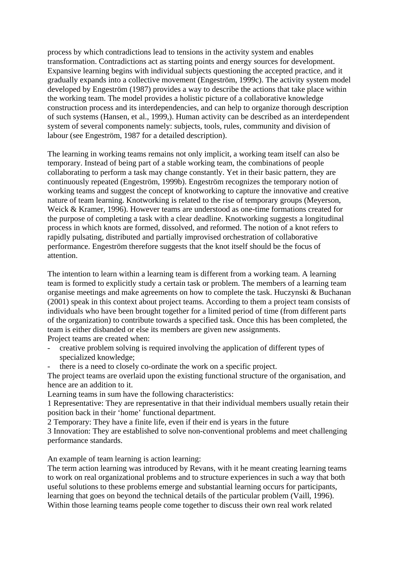process by which contradictions lead to tensions in the activity system and enables transformation. Contradictions act as starting points and energy sources for development. Expansive learning begins with individual subjects questioning the accepted practice, and it gradually expands into a collective movement (Engeström, 1999c). The activity system model developed by Engeström (1987) provides a way to describe the actions that take place within the working team. The model provides a holistic picture of a collaborative knowledge construction process and its interdependencies, and can help to organize thorough description of such systems (Hansen, et al., 1999,). Human activity can be described as an interdependent system of several components namely: subjects, tools, rules, community and division of labour (see Engeström, 1987 for a detailed description).

The learning in working teams remains not only implicit, a working team itself can also be temporary. Instead of being part of a stable working team, the combinations of people collaborating to perform a task may change constantly. Yet in their basic pattern, they are continuously repeated (Engeström, 1999b). Engeström recognizes the temporary notion of working teams and suggest the concept of knotworking to capture the innovative and creative nature of team learning. Knotworking is related to the rise of temporary groups (Meyerson, Weick & Kramer, 1996). However teams are understood as one-time formations created for the purpose of completing a task with a clear deadline. Knotworking suggests a longitudinal process in which knots are formed, dissolved, and reformed. The notion of a knot refers to rapidly pulsating, distributed and partially improvised orchestration of collaborative performance. Engeström therefore suggests that the knot itself should be the focus of attention.

The intention to learn within a learning team is different from a working team. A learning team is formed to explicitly study a certain task or problem. The members of a learning team organise meetings and make agreements on how to complete the task. Huczynski & Buchanan (2001) speak in this context about project teams. According to them a project team consists of individuals who have been brought together for a limited period of time (from different parts of the organization) to contribute towards a specified task. Once this has been completed, the team is either disbanded or else its members are given new assignments. Project teams are created when:

- creative problem solving is required involving the application of different types of specialized knowledge;
- there is a need to closely co-ordinate the work on a specific project.

The project teams are overlaid upon the existing functional structure of the organisation, and hence are an addition to it.

Learning teams in sum have the following characteristics:

1 Representative: They are representative in that their individual members usually retain their position back in their 'home' functional department.

2 Temporary: They have a finite life, even if their end is years in the future

3 Innovation: They are established to solve non-conventional problems and meet challenging performance standards.

An example of team learning is action learning:

The term action learning was introduced by Revans, with it he meant creating learning teams to work on real organizational problems and to structure experiences in such a way that both useful solutions to these problems emerge and substantial learning occurs for participants, learning that goes on beyond the technical details of the particular problem (Vaill, 1996). Within those learning teams people come together to discuss their own real work related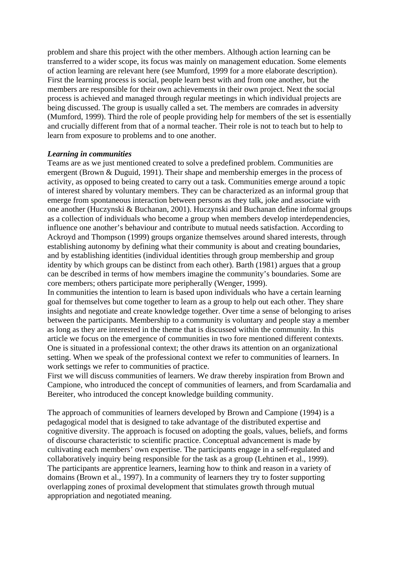problem and share this project with the other members. Although action learning can be transferred to a wider scope, its focus was mainly on management education. Some elements of action learning are relevant here (see Mumford, 1999 for a more elaborate description). First the learning process is social, people learn best with and from one another, but the members are responsible for their own achievements in their own project. Next the social process is achieved and managed through regular meetings in which individual projects are being discussed. The group is usually called a set. The members are comrades in adversity (Mumford, 1999). Third the role of people providing help for members of the set is essentially and crucially different from that of a normal teacher. Their role is not to teach but to help to learn from exposure to problems and to one another.

#### *Learning in communities*

Teams are as we just mentioned created to solve a predefined problem. Communities are emergent (Brown & Duguid, 1991). Their shape and membership emerges in the process of activity, as opposed to being created to carry out a task. Communities emerge around a topic of interest shared by voluntary members. They can be characterized as an informal group that emerge from spontaneous interaction between persons as they talk, joke and associate with one another (Huczynski & Buchanan, 2001). Huczynski and Buchanan define informal groups as a collection of individuals who become a group when members develop interdependencies, influence one another's behaviour and contribute to mutual needs satisfaction. According to Ackroyd and Thompson (1999) groups organize themselves around shared interests, through establishing autonomy by defining what their community is about and creating boundaries, and by establishing identities (individual identities through group membership and group identity by which groups can be distinct from each other). Barth (1981) argues that a group can be described in terms of how members imagine the community's boundaries. Some are core members; others participate more peripherally (Wenger, 1999).

In communities the intention to learn is based upon individuals who have a certain learning goal for themselves but come together to learn as a group to help out each other. They share insights and negotiate and create knowledge together. Over time a sense of belonging to arises between the participants. Membership to a community is voluntary and people stay a member as long as they are interested in the theme that is discussed within the community. In this article we focus on the emergence of communities in two fore mentioned different contexts. One is situated in a professional context; the other draws its attention on an organizational setting. When we speak of the professional context we refer to communities of learners. In work settings we refer to communities of practice.

First we will discuss communities of learners. We draw thereby inspiration from Brown and Campione, who introduced the concept of communities of learners, and from Scardamalia and Bereiter, who introduced the concept knowledge building community.

The approach of communities of learners developed by Brown and Campione (1994) is a pedagogical model that is designed to take advantage of the distributed expertise and cognitive diversity. The approach is focused on adopting the goals, values, beliefs, and forms of discourse characteristic to scientific practice. Conceptual advancement is made by cultivating each members' own expertise. The participants engage in a self-regulated and collaboratively inquiry being responsible for the task as a group (Lehtinen et al., 1999). The participants are apprentice learners, learning how to think and reason in a variety of domains (Brown et al., 1997). In a community of learners they try to foster supporting overlapping zones of proximal development that stimulates growth through mutual appropriation and negotiated meaning.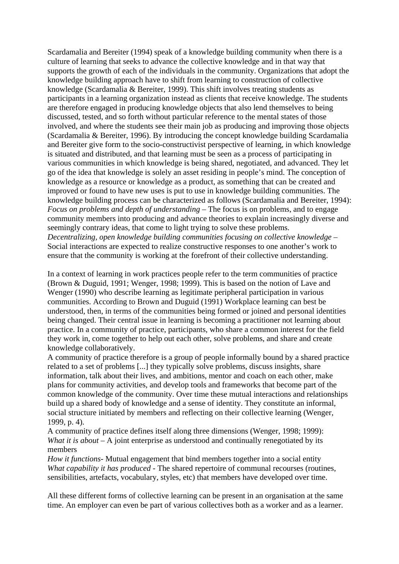Scardamalia and Bereiter (1994) speak of a knowledge building community when there is a culture of learning that seeks to advance the collective knowledge and in that way that supports the growth of each of the individuals in the community. Organizations that adopt the knowledge building approach have to shift from learning to construction of collective knowledge (Scardamalia & Bereiter, 1999). This shift involves treating students as participants in a learning organization instead as clients that receive knowledge. The students are therefore engaged in producing knowledge objects that also lend themselves to being discussed, tested, and so forth without particular reference to the mental states of those involved, and where the students see their main job as producing and improving those objects (Scardamalia & Bereiter, 1996). By introducing the concept knowledge building Scardamalia and Bereiter give form to the socio-constructivist perspective of learning, in which knowledge is situated and distributed, and that learning must be seen as a process of participating in various communities in which knowledge is being shared, negotiated, and advanced. They let go of the idea that knowledge is solely an asset residing in people's mind. The conception of knowledge as a resource or knowledge as a product, as something that can be created and improved or found to have new uses is put to use in knowledge building communities. The knowledge building process can be characterized as follows (Scardamalia and Bereiter, 1994): *Focus on problems and depth of understanding* – The focus is on problems, and to engage community members into producing and advance theories to explain increasingly diverse and seemingly contrary ideas, that come to light trying to solve these problems. *Decentralizing, open knowledge building communities focusing on collective knowledge* – Social interactions are expected to realize constructive responses to one another's work to ensure that the community is working at the forefront of their collective understanding.

In a context of learning in work practices people refer to the term communities of practice (Brown & Duguid, 1991; Wenger, 1998; 1999). This is based on the notion of Lave and Wenger (1990) who describe learning as legitimate peripheral participation in various communities. According to Brown and Duguid (1991) Workplace learning can best be understood, then, in terms of the communities being formed or joined and personal identities being changed. Their central issue in learning is becoming a practitioner not learning about practice. In a community of practice, participants, who share a common interest for the field they work in, come together to help out each other, solve problems, and share and create knowledge collaboratively.

A community of practice therefore is a group of people informally bound by a shared practice related to a set of problems [...] they typically solve problems, discuss insights, share information, talk about their lives, and ambitions, mentor and coach on each other, make plans for community activities, and develop tools and frameworks that become part of the common knowledge of the community. Over time these mutual interactions and relationships build up a shared body of knowledge and a sense of identity. They constitute an informal, social structure initiated by members and reflecting on their collective learning (Wenger, 1999, p. 4).

A community of practice defines itself along three dimensions (Wenger, 1998; 1999): *What it is about* – A joint enterprise as understood and continually renegotiated by its members

*How it functions*- Mutual engagement that bind members together into a social entity *What capability it has produced* - The shared repertoire of communal recourses (routines, sensibilities, artefacts, vocabulary, styles, etc) that members have developed over time.

All these different forms of collective learning can be present in an organisation at the same time. An employer can even be part of various collectives both as a worker and as a learner.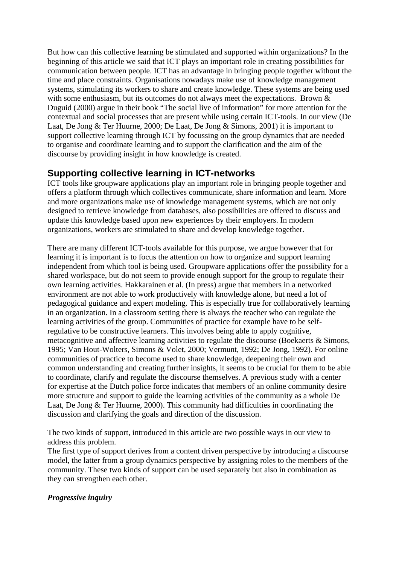But how can this collective learning be stimulated and supported within organizations? In the beginning of this article we said that ICT plays an important role in creating possibilities for communication between people. ICT has an advantage in bringing people together without the time and place constraints. Organisations nowadays make use of knowledge management systems, stimulating its workers to share and create knowledge. These systems are being used with some enthusiasm, but its outcomes do not always meet the expectations. Brown  $\&$ Duguid (2000) argue in their book "The social live of information" for more attention for the contextual and social processes that are present while using certain ICT-tools. In our view (De Laat, De Jong & Ter Huurne, 2000; De Laat, De Jong & Simons, 2001) it is important to support collective learning through ICT by focussing on the group dynamics that are needed to organise and coordinate learning and to support the clarification and the aim of the discourse by providing insight in how knowledge is created.

# **Supporting collective learning in ICT-networks**

ICT tools like groupware applications play an important role in bringing people together and offers a platform through which collectives communicate, share information and learn. More and more organizations make use of knowledge management systems, which are not only designed to retrieve knowledge from databases, also possibilities are offered to discuss and update this knowledge based upon new experiences by their employers. In modern organizations, workers are stimulated to share and develop knowledge together.

There are many different ICT-tools available for this purpose, we argue however that for learning it is important is to focus the attention on how to organize and support learning independent from which tool is being used. Groupware applications offer the possibility for a shared workspace, but do not seem to provide enough support for the group to regulate their own learning activities. Hakkarainen et al. (In press) argue that members in a networked environment are not able to work productively with knowledge alone, but need a lot of pedagogical guidance and expert modeling. This is especially true for collaboratively learning in an organization. In a classroom setting there is always the teacher who can regulate the learning activities of the group. Communities of practice for example have to be selfregulative to be constructive learners. This involves being able to apply cognitive, metacognitive and affective learning activities to regulate the discourse (Boekaerts & Simons, 1995; Van Hout-Wolters, Simons & Volet, 2000; Vermunt, 1992; De Jong, 1992). For online communities of practice to become used to share knowledge, deepening their own and common understanding and creating further insights, it seems to be crucial for them to be able to coordinate, clarify and regulate the discourse themselves. A previous study with a center for expertise at the Dutch police force indicates that members of an online community desire more structure and support to guide the learning activities of the community as a whole De Laat, De Jong & Ter Huurne, 2000). This community had difficulties in coordinating the discussion and clarifying the goals and direction of the discussion.

The two kinds of support, introduced in this article are two possible ways in our view to address this problem.

The first type of support derives from a content driven perspective by introducing a discourse model, the latter from a group dynamics perspective by assigning roles to the members of the community. These two kinds of support can be used separately but also in combination as they can strengthen each other.

## *Progressive inquiry*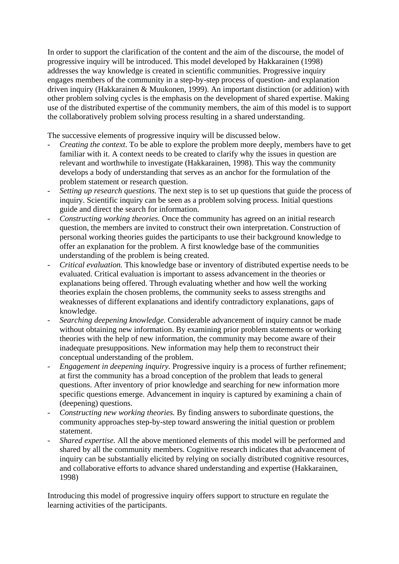In order to support the clarification of the content and the aim of the discourse, the model of progressive inquiry will be introduced. This model developed by Hakkarainen (1998) addresses the way knowledge is created in scientific communities. Progressive inquiry engages members of the community in a step-by-step process of question- and explanation driven inquiry (Hakkarainen & Muukonen, 1999). An important distinction (or addition) with other problem solving cycles is the emphasis on the development of shared expertise. Making use of the distributed expertise of the community members, the aim of this model is to support the collaboratively problem solving process resulting in a shared understanding.

The successive elements of progressive inquiry will be discussed below.

- *Creating the context*. To be able to explore the problem more deeply, members have to get familiar with it. A context needs to be created to clarify why the issues in question are relevant and worthwhile to investigate (Hakkarainen, 1998). This way the community develops a body of understanding that serves as an anchor for the formulation of the problem statement or research question.
- *Setting up research questions.* The next step is to set up questions that guide the process of inquiry. Scientific inquiry can be seen as a problem solving process. Initial questions guide and direct the search for information.
- *Constructing working theories.* Once the community has agreed on an initial research question, the members are invited to construct their own interpretation. Construction of personal working theories guides the participants to use their background knowledge to offer an explanation for the problem. A first knowledge base of the communities understanding of the problem is being created.
- *Critical evaluation.* This knowledge base or inventory of distributed expertise needs to be evaluated. Critical evaluation is important to assess advancement in the theories or explanations being offered. Through evaluating whether and how well the working theories explain the chosen problems, the community seeks to assess strengths and weaknesses of different explanations and identify contradictory explanations, gaps of knowledge.
- *Searching deepening knowledge.* Considerable advancement of inquiry cannot be made without obtaining new information. By examining prior problem statements or working theories with the help of new information, the community may become aware of their inadequate presuppositions. New information may help them to reconstruct their conceptual understanding of the problem.
- *Engagement in deepening inquiry.* Progressive inquiry is a process of further refinement; at first the community has a broad conception of the problem that leads to general questions. After inventory of prior knowledge and searching for new information more specific questions emerge. Advancement in inquiry is captured by examining a chain of (deepening) questions.
- *Constructing new working theories.* By finding answers to subordinate questions, the community approaches step-by-step toward answering the initial question or problem statement.
- *Shared expertise.* All the above mentioned elements of this model will be performed and shared by all the community members. Cognitive research indicates that advancement of inquiry can be substantially elicited by relying on socially distributed cognitive resources, and collaborative efforts to advance shared understanding and expertise (Hakkarainen, 1998)

Introducing this model of progressive inquiry offers support to structure en regulate the learning activities of the participants.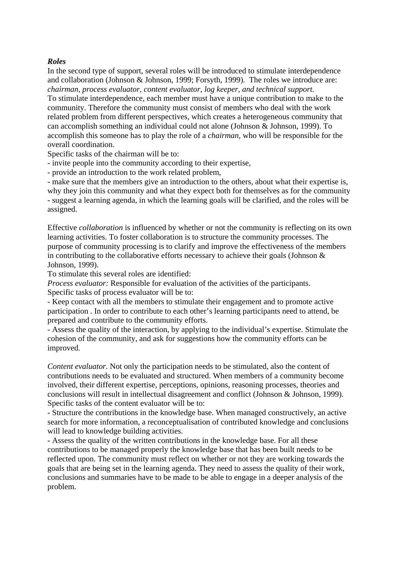#### *Roles*

In the second type of support, several roles will be introduced to stimulate interdependence and collaboration (Johnson & Johnson, 1999; Forsyth, 1999). The roles we introduce are: *chairman, process evaluator, content evaluator, log keeper, and technical support.* 

To stimulate interdependence, each member must have a unique contribution to make to the community. Therefore the community must consist of members who deal with the work related problem from different perspectives, which creates a heterogeneous community that can accomplish something an individual could not alone (Johnson & Johnson, 1999). To accomplish this someone has to play the role of a *chairman,* who will be responsible for the overall coordination.

Specific tasks of the chairman will be to:

- invite people into the community according to their expertise,
- provide an introduction to the work related problem,

- make sure that the members give an introduction to the others, about what their expertise is, why they join this community and what they expect both for themselves as for the community - suggest a learning agenda, in which the learning goals will be clarified, and the roles will be assigned.

Effective *collaboration* is influenced by whether or not the community is reflecting on its own learning activities. To foster collaboration is to structure the community processes. The purpose of community processing is to clarify and improve the effectiveness of the members in contributing to the collaborative efforts necessary to achieve their goals (Johnson & Johnson, 1999).

To stimulate this several roles are identified:

*Process evaluator:* Responsible for evaluation of the activities of the participants. Specific tasks of process evaluator will be to:

- Keep contact with all the members to stimulate their engagement and to promote active participation . In order to contribute to each other's learning participants need to attend, be prepared and contribute to the community efforts.

- Assess the quality of the interaction, by applying to the individual's expertise. Stimulate the cohesion of the community, and ask for suggestions how the community efforts can be improved*.* 

*Content evaluator*. Not only the participation needs to be stimulated, also the content of contributions needs to be evaluated and structured. When members of a community become involved, their different expertise, perceptions, opinions, reasoning processes, theories and conclusions will result in intellectual disagreement and conflict (Johnson & Johnson, 1999). Specific tasks of the content evaluator will be to:

- Structure the contributions in the knowledge base. When managed constructively, an active search for more information, a reconceptualisation of contributed knowledge and conclusions will lead to knowledge building activities.

- Assess the quality of the written contributions in the knowledge base. For all these contributions to be managed properly the knowledge base that has been built needs to be reflected upon. The community must reflect on whether or not they are working towards the goals that are being set in the learning agenda. They need to assess the quality of their work, conclusions and summaries have to be made to be able to engage in a deeper analysis of the problem.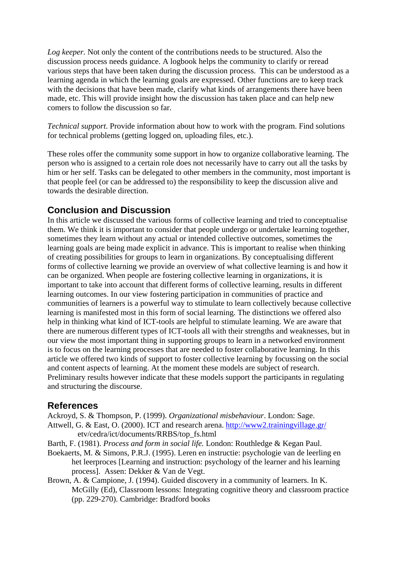Log keeper. Not only the content of the contributions needs to be structured. Also the discussion process needs guidance. A logbook helps the community to clarify or reread various steps that have been taken during the discussion process. This can be understood as a learning agenda in which the learning goals are expressed. Other functions are to keep track with the decisions that have been made, clarify what kinds of arrangements there have been made, etc. This will provide insight how the discussion has taken place and can help new comers to follow the discussion so far.

*Technical support*. Provide information about how to work with the program. Find solutions for technical problems (getting logged on, uploading files, etc.).

These roles offer the community some support in how to organize collaborative learning. The person who is assigned to a certain role does not necessarily have to carry out all the tasks by him or her self. Tasks can be delegated to other members in the community, most important is that people feel (or can be addressed to) the responsibility to keep the discussion alive and towards the desirable direction.

# **Conclusion and Discussion**

In this article we discussed the various forms of collective learning and tried to conceptualise them. We think it is important to consider that people undergo or undertake learning together, sometimes they learn without any actual or intended collective outcomes, sometimes the learning goals are being made explicit in advance. This is important to realise when thinking of creating possibilities for groups to learn in organizations. By conceptualising different forms of collective learning we provide an overview of what collective learning is and how it can be organized. When people are fostering collective learning in organizations, it is important to take into account that different forms of collective learning, results in different learning outcomes. In our view fostering participation in communities of practice and communities of learners is a powerful way to stimulate to learn collectively because collective learning is manifested most in this form of social learning. The distinctions we offered also help in thinking what kind of ICT-tools are helpful to stimulate learning. We are aware that there are numerous different types of ICT-tools all with their strengths and weaknesses, but in our view the most important thing in supporting groups to learn in a networked environment is to focus on the learning processes that are needed to foster collaborative learning. In this article we offered two kinds of support to foster collective learning by focussing on the social and content aspects of learning. At the moment these models are subject of research. Preliminary results however indicate that these models support the participants in regulating and structuring the discourse.

# **References**

Ackroyd, S. & Thompson, P. (1999). *Organizational misbehaviour*. London: Sage. Attwell, G. & East, O. (2000). ICT and research arena. <http://www2.trainingvillage.gr/> etv/cedra/ict/documents/RRBS/top\_fs.html

Barth, F. (1981). *Process and form in social life.* London: Routhledge & Kegan Paul.

- Boekaerts, M. & Simons, P.R.J. (1995). Leren en instructie: psychologie van de leerling en het leerproces [Learning and instruction: psychology of the learner and his learning process]. Assen: Dekker & Van de Vegt.
- Brown, A. & Campione, J. (1994). Guided discovery in a community of learners. In K. McGilly (Ed), Classroom lessons: Integrating cognitive theory and classroom practice (pp. 229-270). Cambridge: Bradford books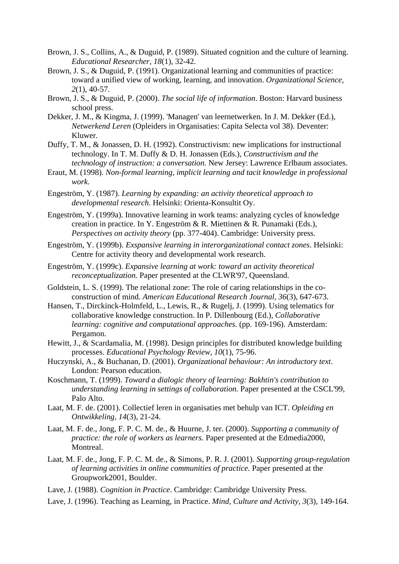- Brown, J. S., Collins, A., & Duguid, P. (1989). Situated cognition and the culture of learning. *Educational Researcher, 18*(1), 32-42.
- Brown, J. S., & Duguid, P. (1991). Organizational learning and communities of practice: toward a unified view of working, learning, and innovation. *Organizational Science, 2*(1), 40-57.
- Brown, J. S., & Duguid, P. (2000). *The social life of information*. Boston: Harvard business school press.
- Dekker, J. M., & Kingma, J. (1999). 'Managen' van leernetwerken. In J. M. Dekker (Ed.), *Netwerkend Leren* (Opleiders in Organisaties: Capita Selecta vol 38). Deventer: Kluwer.
- Duffy, T. M., & Jonassen, D. H. (1992). Constructivism: new implications for instructional technology. In T. M. Duffy & D. H. Jonassen (Eds.), *Constructivism and the technology of instruction: a conversation.* New Jersey: Lawrence Erlbaum associates.
- Eraut, M. (1998). *Non-formal learning, implicit learning and tacit knowledge in professional work*.
- Engeström, Y. (1987). *Learning by expanding: an activity theoretical approach to developmental research*. Helsinki: Orienta-Konsultit Oy.
- Engeström, Y. (1999a). Innovative learning in work teams: analyzing cycles of knowledge creation in practice. In Y. Engeström & R. Miettinen & R. Punamaki (Eds.), *Perspectives on activity theory* (pp. 377-404). Cambridge: University press.
- Engeström, Y. (1999b). *Exspansive learning in interorganizational contact zones*. Helsinki: Centre for activity theory and developmental work research.
- Engeström, Y. (1999c). *Expansive learning at work: toward an activity theoretical reconceptualization.* Paper presented at the CLWR'97, Queensland.
- Goldstein, L. S. (1999). The relational zone: The role of caring relationships in the coconstruction of mind. *American Educational Research Journal, 36*(3), 647-673.
- Hansen, T., Dirckinck-Holmfeld, L., Lewis, R., & Rugelj, J. (1999). Using telematics for collaborative knowledge construction. In P. Dillenbourg (Ed.), *Collaborative learning: cognitive and computational approaches.* (pp. 169-196). Amsterdam: Pergamon.
- Hewitt, J., & Scardamalia, M. (1998). Design principles for distributed knowledge building processes. *Educational Psychology Review, 10*(1), 75-96.
- Huczynski, A., & Buchanan, D. (2001). *Organizational behaviour: An introductory text*. London: Pearson education.
- Koschmann, T. (1999). *Toward a dialogic theory of learning: Bakhtin's contribution to understanding learning in settings of collaboration.* Paper presented at the CSCL'99, Palo Alto.
- Laat, M. F. de. (2001). Collectief leren in organisaties met behulp van ICT. *Opleiding en Ontwikkeling, 14*(3), 21-24.
- Laat, M. F. de., Jong, F. P. C. M. de., & Huurne, J. ter. (2000). *Supporting a community of practice: the role of workers as learners.* Paper presented at the Edmedia2000, Montreal.
- Laat, M. F. de., Jong, F. P. C. M. de., & Simons, P. R. J. (2001). *Supporting group-regulation of learning activities in online communities of practice.* Paper presented at the Groupwork2001, Boulder.
- Lave, J. (1988). *Cognition in Practice*. Cambridge: Cambridge University Press.
- Lave, J. (1996). Teaching as Learning, in Practice. *Mind, Culture and Activity, 3*(3), 149-164.